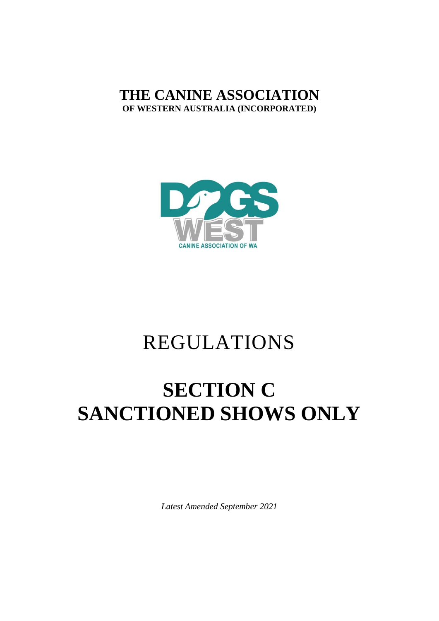### **THE CANINE ASSOCIATION OF WESTERN AUSTRALIA (INCORPORATED)**



## REGULATIONS

# **SECTION C SANCTIONED SHOWS ONLY**

*Latest Amended September 2021*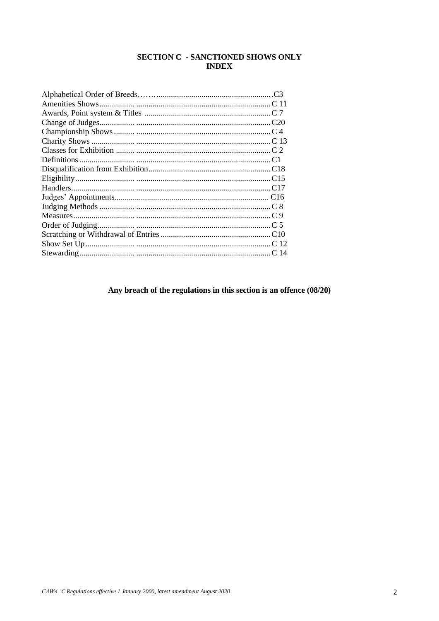#### **SECTION C - SANCTIONED SHOWS ONLY INDEX**

Any breach of the regulations in this section is an offence  $\left(08/20\right)$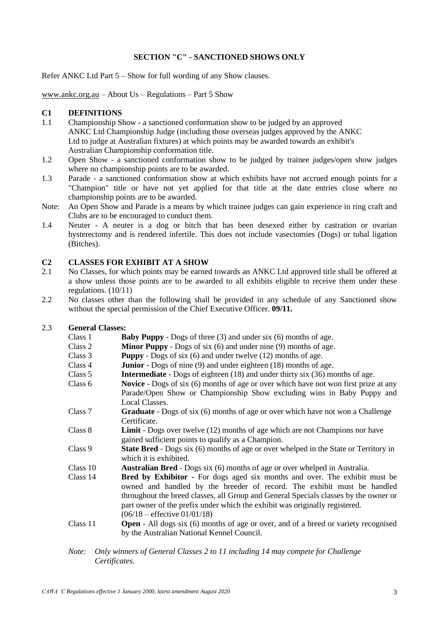#### **SECTION "C" - SANCTIONED SHOWS ONLY**

Refer ANKC Ltd Part 5 – Show for full wording of any Show clauses.

[www.ankc.org.au](http://www.ankc.org.au/) – About Us – Regulations – Part 5 Show

#### **C1 DEFINITIONS**

- 1.1 Championship Show a sanctioned conformation show to be judged by an approved ANKC Ltd Championship Judge (including those overseas judges approved by the ANKC Ltd to judge at Australian fixtures) at which points may be awarded towards an exhibit's Australian Championship conformation title.
- 1.2 Open Show a sanctioned conformation show to be judged by trainee judges/open show judges where no championship points are to be awarded.
- 1.3 Parade a sanctioned conformation show at which exhibits have not accrued enough points for a "Champion" title or have not yet applied for that title at the date entries close where no championship points are to be awarded.
- Note: An Open Show and Parade is a means by which trainee judges can gain experience in ring craft and Clubs are to be encouraged to conduct them.
- 1.4 Neuter A neuter is a dog or bitch that has been desexed either by castration or ovarian hysterectomy and is rendered infertile. This does not include vasectomies (Dogs) or tubal ligation (Bitches).

#### **C2 CLASSES FOR EXHIBIT AT A SHOW**

- 2.1 No Classes, for which points may be earned towards an ANKC Ltd approved title shall be offered at a show unless those points are to be awarded to all exhibits eligible to receive them under these regulations. (10/11)
- 2.2 No classes other than the following shall be provided in any schedule of any Sanctioned show without the special permission of the Chief Executive Officer. **09/11.**

#### 2.3 **General Classes:**

| Class 1  | <b>Baby Puppy</b> - Dogs of three $(3)$ and under six $(6)$ months of age.                  |
|----------|---------------------------------------------------------------------------------------------|
| Class 2  | <b>Minor Puppy</b> - Dogs of six $(6)$ and under nine $(9)$ months of age.                  |
| Class 3  | <b>Puppy</b> - Dogs of six $(6)$ and under twelve $(12)$ months of age.                     |
| Class 4  | <b>Junior</b> - Dogs of nine (9) and under eighteen (18) months of age.                     |
| Class 5  | <b>Intermediate</b> - Dogs of eighteen (18) and under thirty six (36) months of age.        |
| Class 6  | <b>Novice</b> - Dogs of six (6) months of age or over which have not won first prize at any |
|          | Parade/Open Show or Championship Show excluding wins in Baby Puppy and                      |
|          | Local Classes.                                                                              |
| Class 7  | Graduate - Dogs of six (6) months of age or over which have not won a Challenge             |
|          | Certificate.                                                                                |
| Class 8  | <b>Limit</b> - Dogs over twelve (12) months of age which are not Champions nor have         |
|          | gained sufficient points to qualify as a Champion.                                          |
| Class 9  | State Bred - Dogs six (6) months of age or over whelped in the State or Territory in        |
|          | which it is exhibited.                                                                      |
| Class 10 | <b>Australian Bred</b> - Dogs six (6) months of age or over whelped in Australia.           |
| Class 14 | <b>Bred by Exhibitor</b> - For dogs aged six months and over. The exhibit must be           |
|          | owned and handled by the breeder of record. The exhibit must be handled                     |
|          | throughout the breed classes, all Group and General Specials classes by the owner or        |
|          | part owner of the prefix under which the exhibit was originally registered.                 |
|          | $(06/18 -$ effective $01/01/18)$                                                            |
| Class 11 | <b>Open</b> - All dogs six (6) months of age or over, and of a breed or variety recognised  |
|          | by the Australian National Kennel Council.                                                  |
|          |                                                                                             |

*Note: Only winners of General Classes 2 to 11 including 14 may compete for Challenge Certificates.*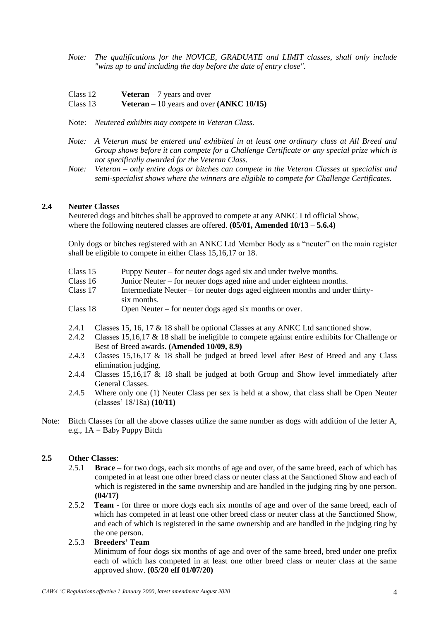- *Note: The qualifications for the NOVICE, GRADUATE and LIMIT classes, shall only include "wins up to and including the day before the date of entry close".*
- Class 12 **Veteran** 7 years and over

#### Class 13 **Veteran** – 10 years and over **(ANKC 10/15)**

- Note: *Neutered exhibits may compete in Veteran Class.*
- *Note: A Veteran must be entered and exhibited in at least one ordinary class at All Breed and Group shows before it can compete for a Challenge Certificate or any special prize which is not specifically awarded for the Veteran Class.*
- *Note: Veteran – only entire dogs or bitches can compete in the Veteran Classes at specialist and semi-specialist shows where the winners are eligible to compete for Challenge Certificates.*

#### **2.4 Neuter Classes**

Neutered dogs and bitches shall be approved to compete at any ANKC Ltd official Show, where the following neutered classes are offered. **(05/01, Amended 10/13 – 5.6.4)**

Only dogs or bitches registered with an ANKC Ltd Member Body as a "neuter" on the main register shall be eligible to compete in either Class 15,16,17 or 18.

- Class 15 Puppy Neuter for neuter dogs aged six and under twelve months.
- Class 16 Junior Neuter for neuter dogs aged nine and under eighteen months.
- Class 17 Intermediate Neuter for neuter dogs aged eighteen months and under thirtysix months.
- Class 18 Open Neuter for neuter dogs aged six months or over.
- 2.4.1 Classes 15, 16, 17 & 18 shall be optional Classes at any ANKC Ltd sanctioned show.
- 2.4.2 Classes 15,16,17 & 18 shall be ineligible to compete against entire exhibits for Challenge or Best of Breed awards. **(Amended 10/09, 8.9)**
- 2.4.3 Classes 15,16,17 & 18 shall be judged at breed level after Best of Breed and any Class elimination judging.
- 2.4.4 Classes 15,16,17 & 18 shall be judged at both Group and Show level immediately after General Classes.
- 2.4.5 Where only one (1) Neuter Class per sex is held at a show, that class shall be Open Neuter (classes' 18/18a) **(10/11)**
- Note: Bitch Classes for all the above classes utilize the same number as dogs with addition of the letter A, e.g.,  $1A =$ Baby Puppy Bitch

#### **2.5 Other Classes**:

- 2.5.1 **Brace** for two dogs, each six months of age and over, of the same breed, each of which has competed in at least one other breed class or neuter class at the Sanctioned Show and each of which is registered in the same ownership and are handled in the judging ring by one person. **(04/17)**
- 2.5.2 **Team**  for three or more dogs each six months of age and over of the same breed, each of which has competed in at least one other breed class or neuter class at the Sanctioned Show, and each of which is registered in the same ownership and are handled in the judging ring by the one person.
- 2.5.3 **Breeders' Team** Minimum of four dogs six months of age and over of the same breed, bred under one prefix each of which has competed in at least one other breed class or neuter class at the same approved show. **(05/20 eff 01/07/20)**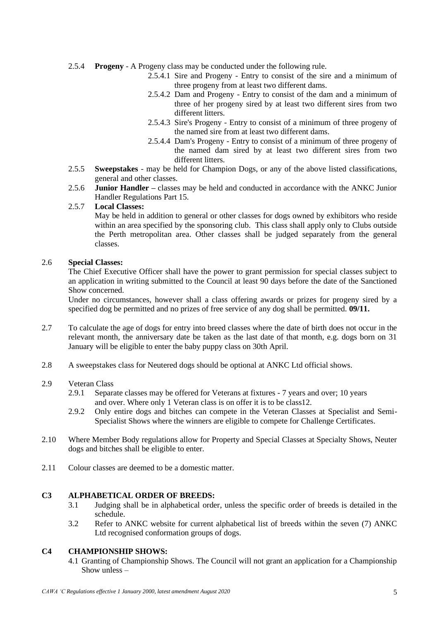- 2.5.4 **Progeny** A Progeny class may be conducted under the following rule.
	- 2.5.4.1 Sire and Progeny Entry to consist of the sire and a minimum of three progeny from at least two different dams.
	- 2.5.4.2 Dam and Progeny Entry to consist of the dam and a minimum of three of her progeny sired by at least two different sires from two different litters.
	- 2.5.4.3 Sire's Progeny Entry to consist of a minimum of three progeny of the named sire from at least two different dams.
	- 2.5.4.4 Dam's Progeny Entry to consist of a minimum of three progeny of the named dam sired by at least two different sires from two different litters.
- 2.5.5 **Sweepstakes** may be held for Champion Dogs, or any of the above listed classifications, general and other classes.
- 2.5.6 **Junior Handler –** classes may be held and conducted in accordance with the ANKC Junior Handler Regulations Part 15.

#### 2.5.7 **Local Classes:**

May be held in addition to general or other classes for dogs owned by exhibitors who reside within an area specified by the sponsoring club. This class shall apply only to Clubs outside the Perth metropolitan area. Other classes shall be judged separately from the general classes.

#### 2.6 **Special Classes:**

The Chief Executive Officer shall have the power to grant permission for special classes subject to an application in writing submitted to the Council at least 90 days before the date of the Sanctioned Show concerned.

Under no circumstances, however shall a class offering awards or prizes for progeny sired by a specified dog be permitted and no prizes of free service of any dog shall be permitted. **09/11.**

- 2.7 To calculate the age of dogs for entry into breed classes where the date of birth does not occur in the relevant month, the anniversary date be taken as the last date of that month, e.g. dogs born on 31 January will be eligible to enter the baby puppy class on 30th April.
- 2.8 A sweepstakes class for Neutered dogs should be optional at ANKC Ltd official shows.

#### 2.9 Veteran Class

- 2.9.1 Separate classes may be offered for Veterans at fixtures 7 years and over; 10 years and over. Where only 1 Veteran class is on offer it is to be class12.
- 2.9.2 Only entire dogs and bitches can compete in the Veteran Classes at Specialist and Semi-Specialist Shows where the winners are eligible to compete for Challenge Certificates.
- 2.10 Where Member Body regulations allow for Property and Special Classes at Specialty Shows, Neuter dogs and bitches shall be eligible to enter.
- 2.11 Colour classes are deemed to be a domestic matter.

#### **C3 ALPHABETICAL ORDER OF BREEDS:**

- 3.1 Judging shall be in alphabetical order, unless the specific order of breeds is detailed in the schedule.
- 3.2 Refer to ANKC website for current alphabetical list of breeds within the seven (7) ANKC Ltd recognised conformation groups of dogs.

#### **C4 CHAMPIONSHIP SHOWS:**

4.1 Granting of Championship Shows. The Council will not grant an application for a Championship Show unless –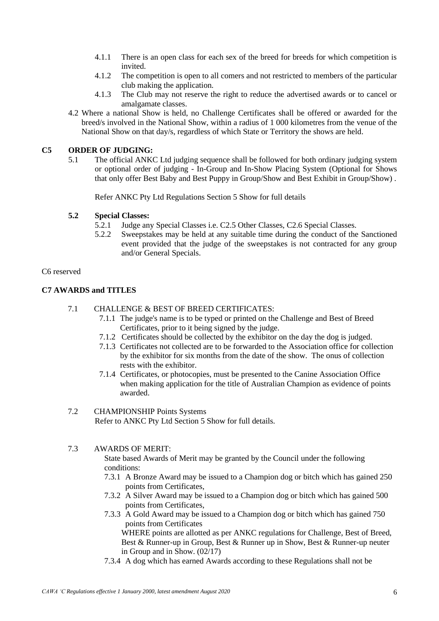- 4.1.1 There is an open class for each sex of the breed for breeds for which competition is invited.
- 4.1.2 The competition is open to all comers and not restricted to members of the particular club making the application.
- 4.1.3 The Club may not reserve the right to reduce the advertised awards or to cancel or amalgamate classes.
- 4.2 Where a national Show is held, no Challenge Certificates shall be offered or awarded for the breed/s involved in the National Show, within a radius of 1 000 kilometres from the venue of the National Show on that day/s, regardless of which State or Territory the shows are held.

#### **C5 ORDER OF JUDGING:**

5.1 The official ANKC Ltd judging sequence shall be followed for both ordinary judging system or optional order of judging - In-Group and In-Show Placing System (Optional for Shows that only offer Best Baby and Best Puppy in Group/Show and Best Exhibit in Group/Show) .

Refer ANKC Pty Ltd Regulations Section 5 Show for full details

#### **5.2 Special Classes:**

- 5.2.1 Judge any Special Classes i.e. C2.5 Other Classes, C2.6 Special Classes.
- 5.2.2 Sweepstakes may be held at any suitable time during the conduct of the Sanctioned event provided that the judge of the sweepstakes is not contracted for any group and/or General Specials.

#### C6 reserved

#### **C7 AWARDS and TITLES**

- 7.1 CHALLENGE & BEST OF BREED CERTIFICATES:
	- 7.1.1 The judge's name is to be typed or printed on the Challenge and Best of Breed Certificates, prior to it being signed by the judge.
	- 7.1.2 Certificates should be collected by the exhibitor on the day the dog is judged.
	- 7.1.3 Certificates not collected are to be forwarded to the Association office for collection by the exhibitor for six months from the date of the show. The onus of collection rests with the exhibitor.
	- 7.1.4 Certificates, or photocopies, must be presented to the Canine Association Office when making application for the title of Australian Champion as evidence of points awarded.

#### 7.2 CHAMPIONSHIP Points Systems Refer to ANKC Pty Ltd Section 5 Show for full details.

#### 7.3 AWARDS OF MERIT:

State based Awards of Merit may be granted by the Council under the following conditions:

- 7.3.1 A Bronze Award may be issued to a Champion dog or bitch which has gained 250 points from Certificates,
- 7.3.2 A Silver Award may be issued to a Champion dog or bitch which has gained 500 points from Certificates,
- 7.3.3 A Gold Award may be issued to a Champion dog or bitch which has gained 750 points from Certificates WHERE points are allotted as per ANKC regulations for Challenge, Best of Breed, Best & Runner-up in Group, Best & Runner up in Show, Best & Runner-up neuter in Group and in Show. (02/17)
- 7.3.4 A dog which has earned Awards according to these Regulations shall not be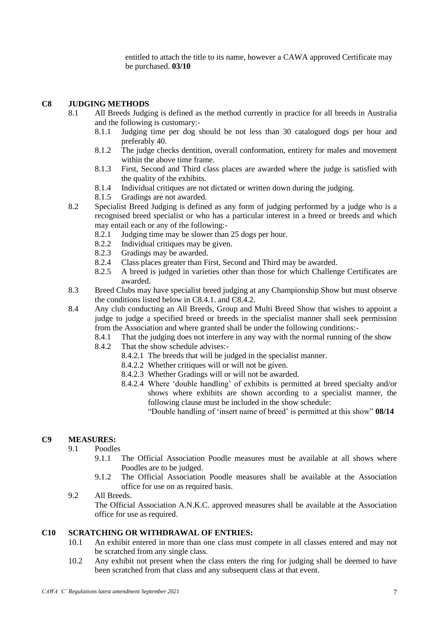entitled to attach the title to its name, however a CAWA approved Certificate may be purchased. **03/10**

#### **C8 JUDGING METHODS**

- 8.1 All Breeds Judging is defined as the method currently in practice for all breeds in Australia and the following is customary:-
	- 8.1.1 Judging time per dog should be not less than 30 catalogued dogs per hour and preferably 40.
	- 8.1.2 The judge checks dentition, overall conformation, entirety for males and movement within the above time frame.
	- 8.1.3 First, Second and Third class places are awarded where the judge is satisfied with the quality of the exhibits.
	- 8.1.4 Individual critiques are not dictated or written down during the judging.
	- 8.1.5 Gradings are not awarded.
- 8.2 Specialist Breed Judging is defined as any form of judging performed by a judge who is a recognised breed specialist or who has a particular interest in a breed or breeds and which may entail each or any of the following:-
	- 8.2.1 Judging time may be slower than 25 dogs per hour.
	- 8.2.2 Individual critiques may be given.
	- 8.2.3 Gradings may be awarded.<br>8.2.4 Class places greater than Fi
	- Class places greater than First, Second and Third may be awarded.
	- 8.2.5 A breed is judged in varieties other than those for which Challenge Certificates are awarded.
- 8.3 Breed Clubs may have specialist breed judging at any Championship Show but must observe the conditions listed below in C8.4.1. and C8.4.2.
- 8.4 Any club conducting an All Breeds, Group and Multi Breed Show that wishes to appoint a judge to judge a specified breed or breeds in the specialist manner shall seek permission from the Association and where granted shall be under the following conditions:-
	- 8.4.1 That the judging does not interfere in any way with the normal running of the show
	- 8.4.2 That the show schedule advises:-
		- 8.4.2.1 The breeds that will be judged in the specialist manner.
		- 8.4.2.2 Whether critiques will or will not be given.
		- 8.4.2.3 Whether Gradings will or will not be awarded.
		- 8.4.2.4 Where 'double handling' of exhibits is permitted at breed specialty and/or shows where exhibits are shown according to a specialist manner, the following clause must be included in the show schedule:
			- "Double handling of 'insert name of breed' is permitted at this show" **08/14**

#### **C9 MEASURES:**

#### 9.1 Poodles

- 9.1.1 The Official Association Poodle measures must be available at all shows where Poodles are to be judged.
- 9.1.2 The Official Association Poodle measures shall be available at the Association office for use on as required basis.

#### 9.2 All Breeds.

The Official Association A.N.K.C. approved measures shall be available at the Association office for use as required.

#### **C10 SCRATCHING OR WITHDRAWAL OF ENTRIES:**

- 10.1 An exhibit entered in more than one class must compete in all classes entered and may not be scratched from any single class.
- 10.2 Any exhibit not present when the class enters the ring for judging shall be deemed to have been scratched from that class and any subsequent class at that event.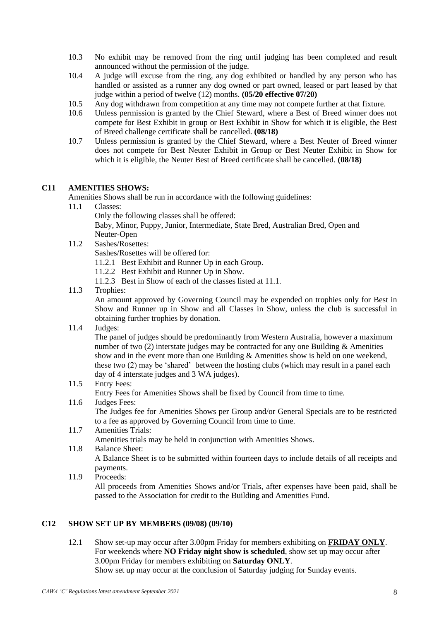- 10.3 No exhibit may be removed from the ring until judging has been completed and result announced without the permission of the judge.
- 10.4 A judge will excuse from the ring, any dog exhibited or handled by any person who has handled or assisted as a runner any dog owned or part owned, leased or part leased by that judge within a period of twelve (12) months. **(05/20 effective 07/20)**
- 10.5 Any dog withdrawn from competition at any time may not compete further at that fixture.<br>10.6 Unless permission is granted by the Chief Steward, where a Best of Breed winner does
- Unless permission is granted by the Chief Steward, where a Best of Breed winner does not compete for Best Exhibit in group or Best Exhibit in Show for which it is eligible, the Best of Breed challenge certificate shall be cancelled. **(08/18)**
- 10.7 Unless permission is granted by the Chief Steward, where a Best Neuter of Breed winner does not compete for Best Neuter Exhibit in Group or Best Neuter Exhibit in Show for which it is eligible, the Neuter Best of Breed certificate shall be cancelled. **(08/18)**

#### **C11 AMENITIES SHOWS:**

Amenities Shows shall be run in accordance with the following guidelines:<br>11.1 Classes:

Classes:

Only the following classes shall be offered:

Baby, Minor, Puppy, Junior, Intermediate, State Bred, Australian Bred, Open and Neuter-Open

11.2 Sashes/Rosettes:

Sashes/Rosettes will be offered for:

- 11.2.1 Best Exhibit and Runner Up in each Group.
- 11.2.2 Best Exhibit and Runner Up in Show.
- 11.2.3 Best in Show of each of the classes listed at 11.1.
- 11.3 Trophies:

An amount approved by Governing Council may be expended on trophies only for Best in Show and Runner up in Show and all Classes in Show, unless the club is successful in obtaining further trophies by donation.

11.4 Judges:

The panel of judges should be predominantly from Western Australia, however a maximum number of two  $(2)$  interstate judges may be contracted for any one Building & Amenities show and in the event more than one Building & Amenities show is held on one weekend, these two (2) may be 'shared' between the hosting clubs (which may result in a panel each day of 4 interstate judges and 3 WA judges).

11.5 Entry Fees:

Entry Fees for Amenities Shows shall be fixed by Council from time to time.

11.6 Judges Fees:

The Judges fee for Amenities Shows per Group and/or General Specials are to be restricted to a fee as approved by Governing Council from time to time.

11.7 Amenities Trials:

Amenities trials may be held in conjunction with Amenities Shows.

11.8 Balance Sheet:

A Balance Sheet is to be submitted within fourteen days to include details of all receipts and payments.

11.9 Proceeds: All proceeds from Amenities Shows and/or Trials, after expenses have been paid, shall be passed to the Association for credit to the Building and Amenities Fund.

#### **C12 SHOW SET UP BY MEMBERS (09/08) (09/10)**

12.1 Show set-up may occur after 3.00pm Friday for members exhibiting on **FRIDAY ONLY**. For weekends where **NO Friday night show is scheduled**, show set up may occur after 3.00pm Friday for members exhibiting on **Saturday ONLY**. Show set up may occur at the conclusion of Saturday judging for Sunday events.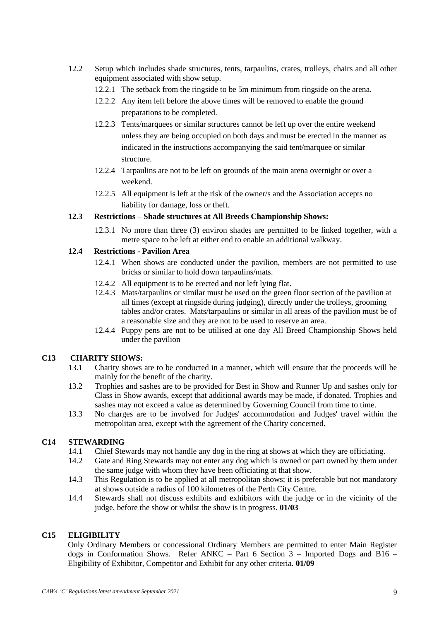- 12.2 Setup which includes shade structures, tents, tarpaulins, crates, trolleys, chairs and all other equipment associated with show setup.
	- 12.2.1 The setback from the ringside to be 5m minimum from ringside on the arena.
	- 12.2.2 Any item left before the above times will be removed to enable the ground preparations to be completed.
	- 12.2.3 Tents/marquees or similar structures cannot be left up over the entire weekend unless they are being occupied on both days and must be erected in the manner as indicated in the instructions accompanying the said tent/marquee or similar structure.
	- 12.2.4 Tarpaulins are not to be left on grounds of the main arena overnight or over a weekend.
	- 12.2.5 All equipment is left at the risk of the owner/s and the Association accepts no liability for damage, loss or theft.

#### **12.3 Restrictions – Shade structures at All Breeds Championship Shows:**

12.3.1 No more than three (3) environ shades are permitted to be linked together, with a metre space to be left at either end to enable an additional walkway.

#### **12.4 Restrictions - Pavilion Area**

- 12.4.1 When shows are conducted under the pavilion, members are not permitted to use bricks or similar to hold down tarpaulins/mats.
- 12.4.2 All equipment is to be erected and not left lying flat.
- 12.4.3 Mats/tarpaulins or similar must be used on the green floor section of the pavilion at all times (except at ringside during judging), directly under the trolleys, grooming tables and/or crates. Mats/tarpaulins or similar in all areas of the pavilion must be of a reasonable size and they are not to be used to reserve an area.
- 12.4.4 Puppy pens are not to be utilised at one day All Breed Championship Shows held under the pavilion

#### **C13 CHARITY SHOWS:**

- 13.1 Charity shows are to be conducted in a manner, which will ensure that the proceeds will be mainly for the benefit of the charity.
- 13.2 Trophies and sashes are to be provided for Best in Show and Runner Up and sashes only for Class in Show awards, except that additional awards may be made, if donated. Trophies and sashes may not exceed a value as determined by Governing Council from time to time.
- 13.3 No charges are to be involved for Judges' accommodation and Judges' travel within the metropolitan area, except with the agreement of the Charity concerned.

#### **C14 STEWARDING**

- 14.1 Chief Stewards may not handle any dog in the ring at shows at which they are officiating.
- 14.2 Gate and Ring Stewards may not enter any dog which is owned or part owned by them under the same judge with whom they have been officiating at that show.
- 14.3 This Regulation is to be applied at all metropolitan shows; it is preferable but not mandatory at shows outside a radius of 100 kilometres of the Perth City Centre.
- 14.4 Stewards shall not discuss exhibits and exhibitors with the judge or in the vicinity of the judge, before the show or whilst the show is in progress. **01/03**

#### **C15 ELIGIBILITY**

Only Ordinary Members or concessional Ordinary Members are permitted to enter Main Register dogs in Conformation Shows. Refer ANKC – Part 6 Section 3 – Imported Dogs and B16 – Eligibility of Exhibitor, Competitor and Exhibit for any other criteria. **01/09**